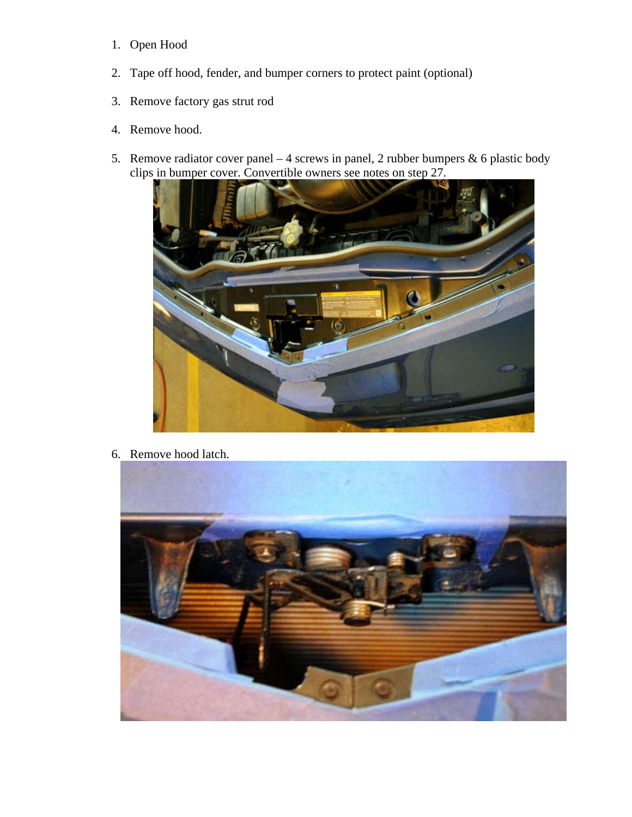- 1. Open Hood
- 2. Tape off hood, fender, and bumper corners to protect paint (optional)
- 3. Remove factory gas strut rod
- 4. Remove hood.
- 5. Remove radiator cover panel 4 screws in panel, 2 rubber bumpers  $\&$  6 plastic body clips in bumper cover. Convertible owners see notes on step 27.



6. Remove hood latch.

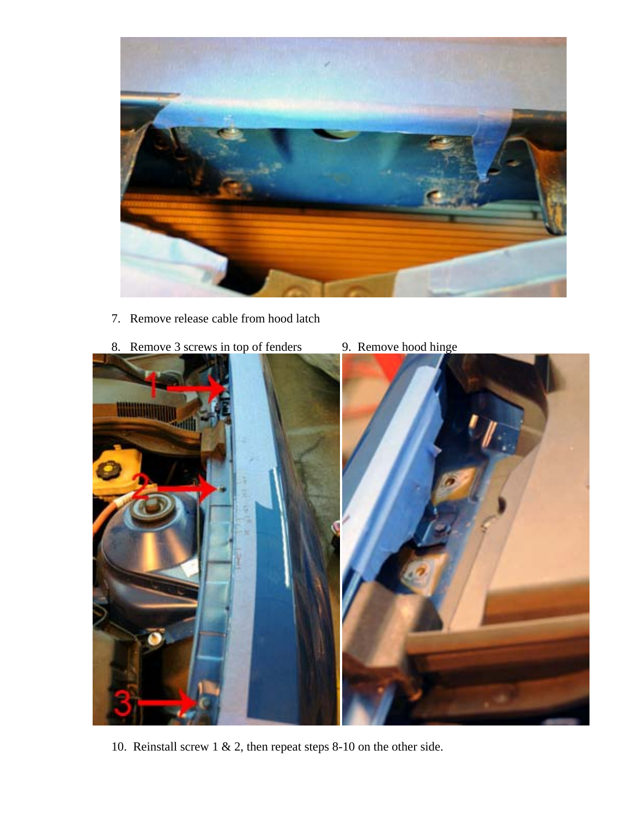

- 7. Remove release cable from hood latch
- 8. Remove 3 screws in top of fenders 9. Remove hood hinge
- - 10. Reinstall screw 1 & 2, then repeat steps 8-10 on the other side.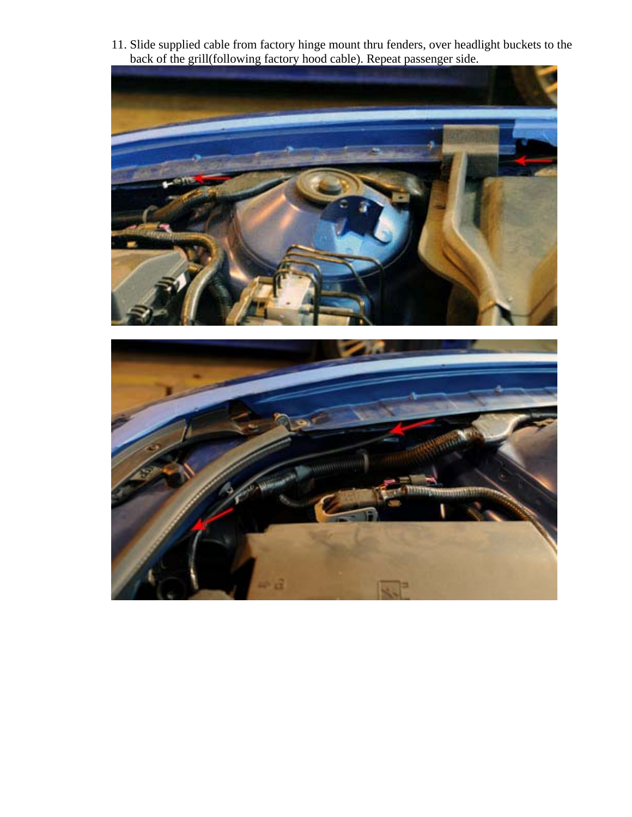11. Slide supplied cable from factory hinge mount thru fenders, over headlight buckets to the back of the grill(following factory hood cable). Repeat passenger side.



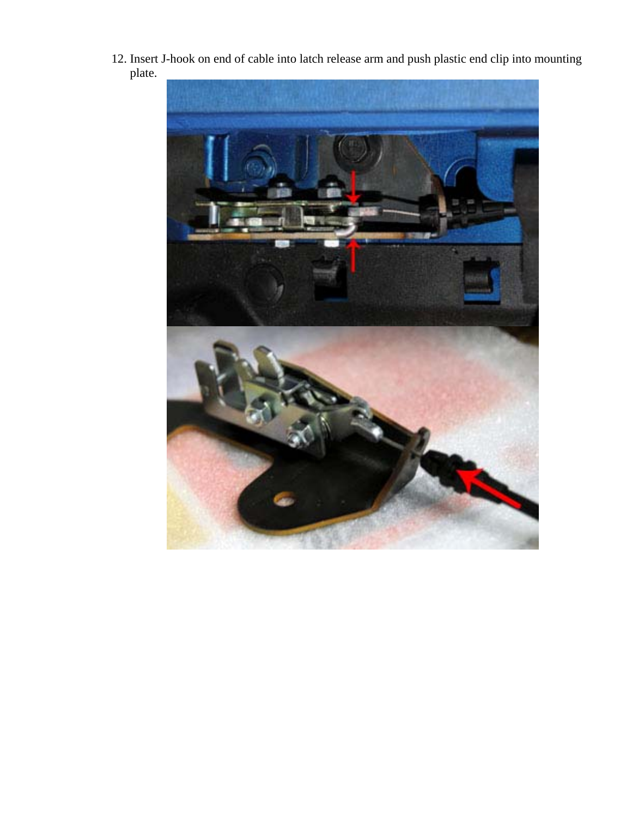12. Insert J-hook on end of cable into latch release arm and push plastic end clip into mounting plate.

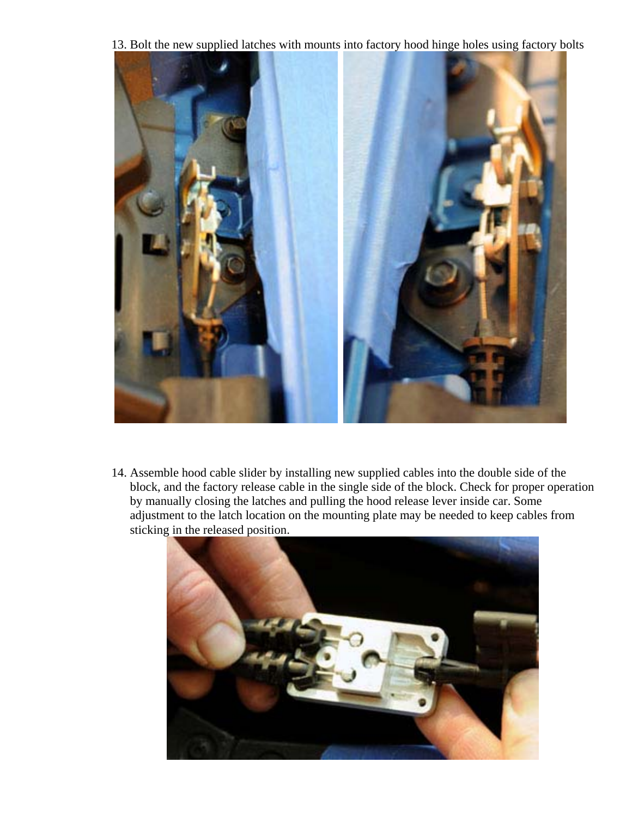13. Bolt the new supplied latches with mounts into factory hood hinge holes using factory bolts



14. Assemble hood cable slider by installing new supplied cables into the double side of the block, and the factory release cable in the single side of the block. Check for proper operation by manually closing the latches and pulling the hood release lever inside car. Some adjustment to the latch location on the mounting plate may be needed to keep cables from sticking in the released position.

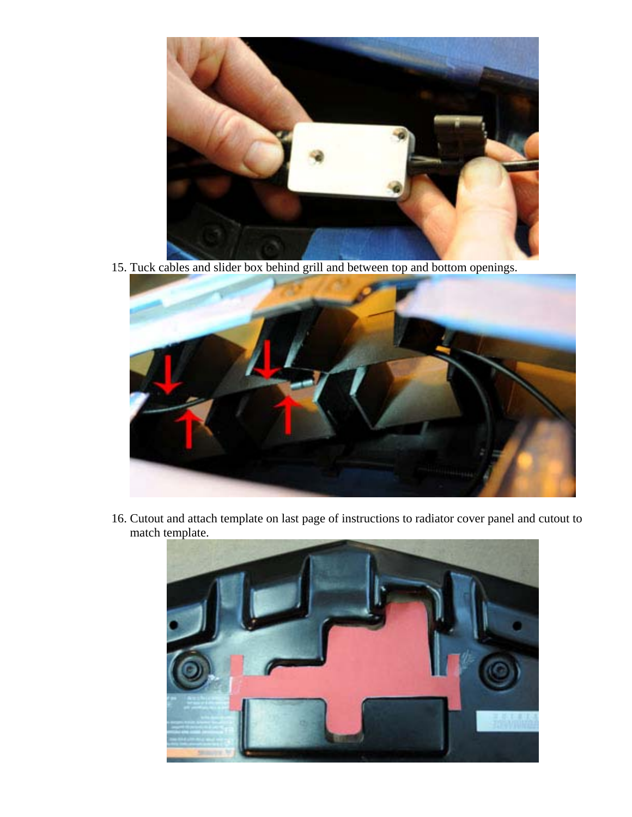

15. Tuck cables and slider box behind grill and between top and bottom openings.



16. Cutout and attach template on last page of instructions to radiator cover panel and cutout to match template.

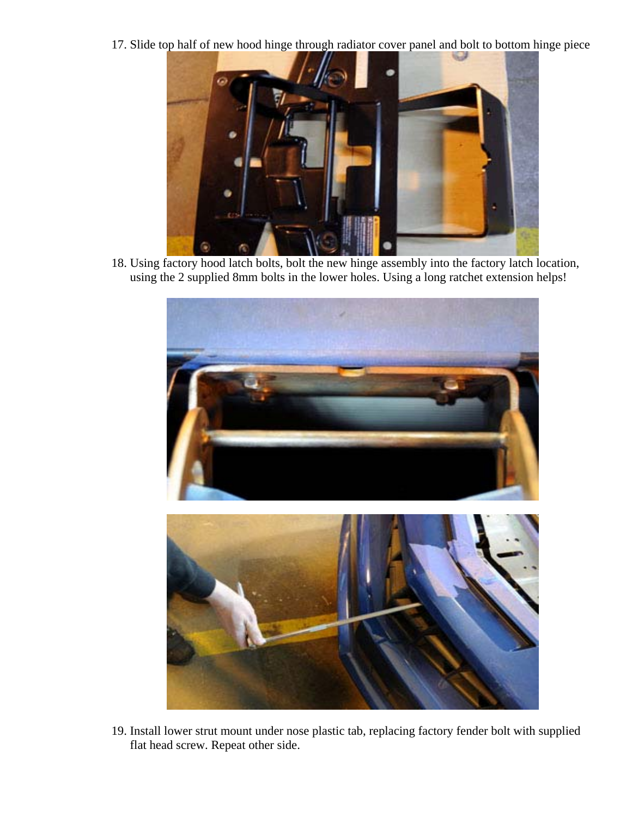17. Slide top half of new hood hinge through radiator cover panel and bolt to bottom hinge piece



18. Using factory hood latch bolts, bolt the new hinge assembly into the factory latch location, using the 2 supplied 8mm bolts in the lower holes. Using a long ratchet extension helps!



19. Install lower strut mount under nose plastic tab, replacing factory fender bolt with supplied flat head screw. Repeat other side.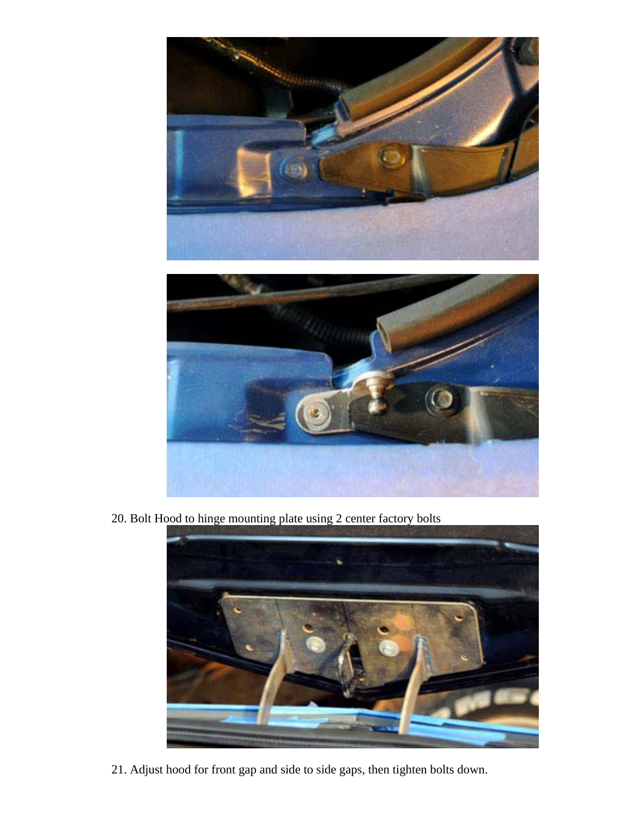

20. Bolt Hood to hinge mounting plate using 2 center factory bolts



21. Adjust hood for front gap and side to side gaps, then tighten bolts down.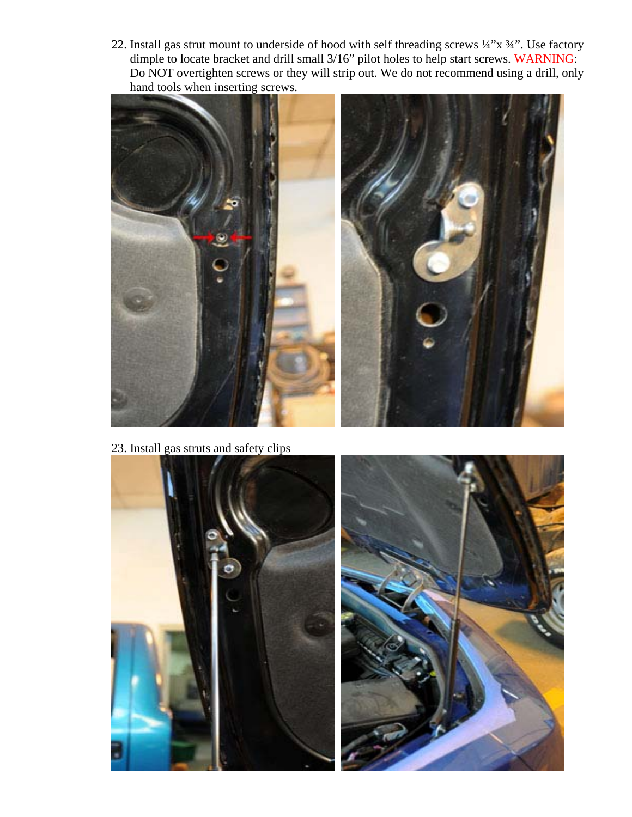22. Install gas strut mount to underside of hood with self threading screws ¼"x ¾". Use factory dimple to locate bracket and drill small 3/16" pilot holes to help start screws. WARNING: Do NOT overtighten screws or they will strip out. We do not recommend using a drill, only hand tools when inserting screws.



23. Install gas struts and safety clips

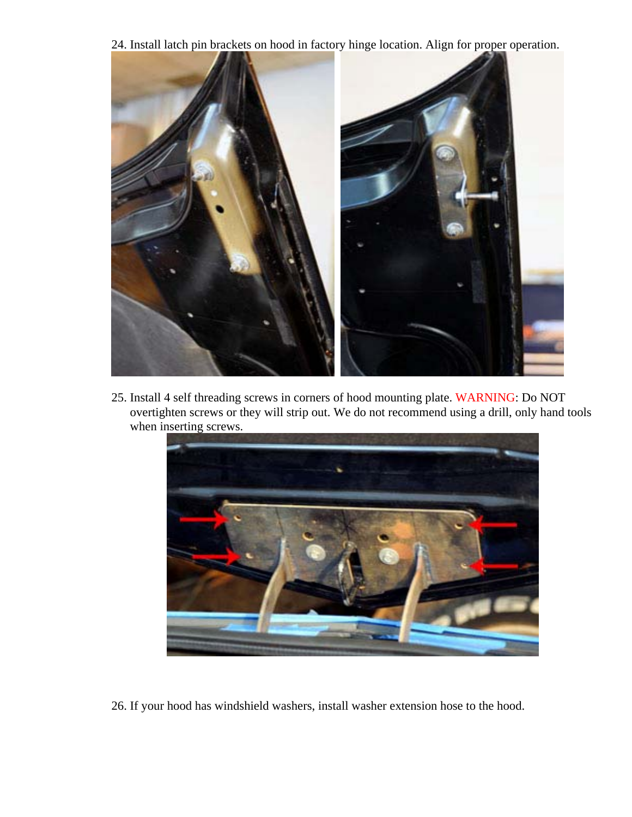24. Install latch pin brackets on hood in factory hinge location. Align for proper operation.



25. Install 4 self threading screws in corners of hood mounting plate. WARNING: Do NOT overtighten screws or they will strip out. We do not recommend using a drill, only hand tools when inserting screws.



26. If your hood has windshield washers, install washer extension hose to the hood.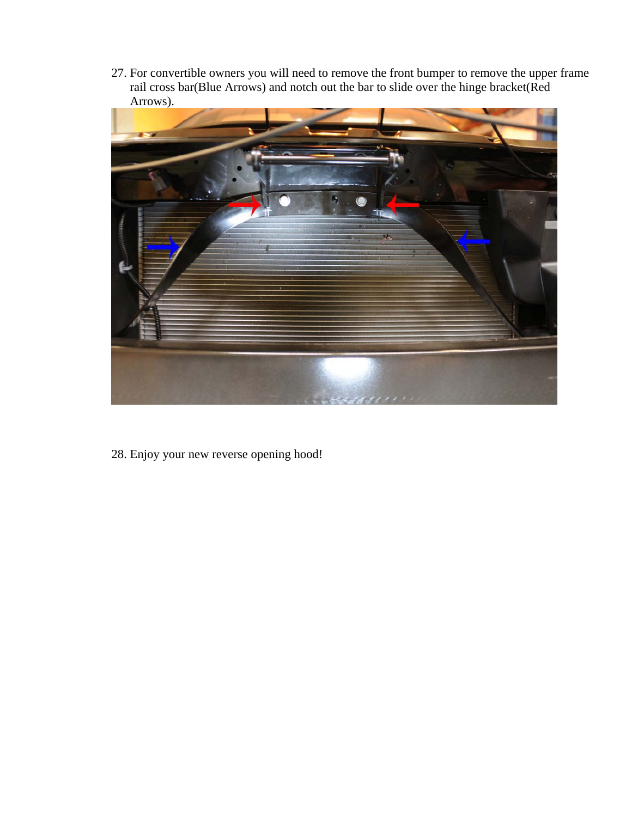27. For convertible owners you will need to remove the front bumper to remove the upper frame rail cross bar(Blue Arrows) and notch out the bar to slide over the hinge bracket(Red Arrows).



28. Enjoy your new reverse opening hood!